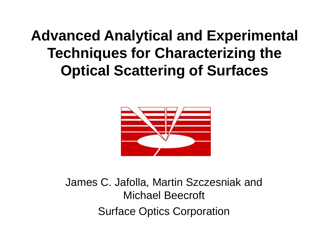### **Advanced Analytical and Experimental Techniques for Characterizing the Optical Scattering of Surfaces**



James C. Jafolla, Martin Szczesniak and Michael Beecroft Surface Optics Corporation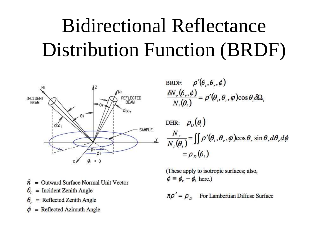# Bidirectional Reflectance Distribution Function (BRDF)



BRDF: 
$$
\rho'(\theta_i, \theta_r, \phi)
$$
  
\n
$$
\frac{\delta N_r(\theta_r, \phi)}{N_i(\theta_i)} = \rho'(\theta_i, \theta_r, \phi) \cos \theta_i \delta \Omega_i
$$
\nDHP:  $\rho$  ( $\theta$ )

$$
\frac{N_r}{N_i(\theta_i)} = \iint \rho'(\theta_i, \theta_r, \varphi) \cos \theta_r \sin \theta_r d\theta_r d\varphi
$$
  
=  $\rho_D(\theta_i)$ 

(These apply to isotropic surfaces; also,  $\phi \equiv \phi_r - \phi_i$  here.)

 $n\rho' = \rho_{\rho}$ For Lambertian Diffuse Surface

- = Outward Surface Normal Unit Vector  $\widehat{n}$
- $\theta_{i}$  $=$  Incident Zenith Angle
- $\theta_r$  = Reflected Zenith Angle
- $=$  Reflected Azimuth Angle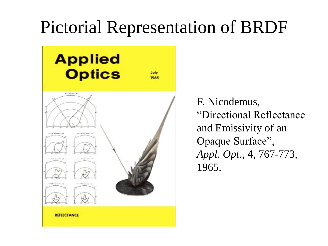### Pictorial Representation of BRDF



F. Nicodemus, "Directional Reflectance and Emissivity of an Opaque Surface", *Appl. Opt.,* **4**, 767-773, 1965.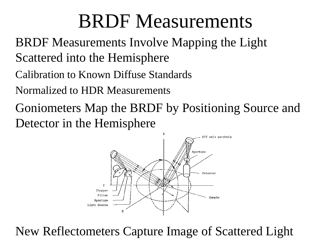## BRDF Measurements

BRDF Measurements Involve Mapping the Light Scattered into the Hemisphere

- Calibration to Known Diffuse Standards
- Normalized to HDR Measurements
- Goniometers Map the BRDF by Positioning Source and Detector in the Hemisphere



New Reflectometers Capture Image of Scattered Light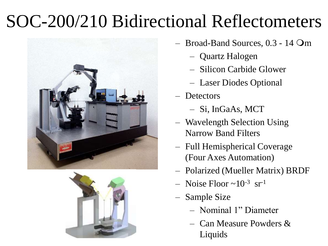### SOC-200/210 Bidirectional Reflectometers





- Broad-Band Sources,  $0.3 14$  Om
	- Quartz Halogen
	- Silicon Carbide Glower
	- Laser Diodes Optional
- Detectors
	- Si, InGaAs, MCT
- Wavelength Selection Using Narrow Band Filters
- Full Hemispherical Coverage (Four Axes Automation)
- Polarized (Mueller Matrix) BRDF
- $-$  Noise Floor  $\sim 10^{-3}$  sr<sup>-1</sup>
- Sample Size
	- Nominal 1" Diameter
	- Can Measure Powders & Liquids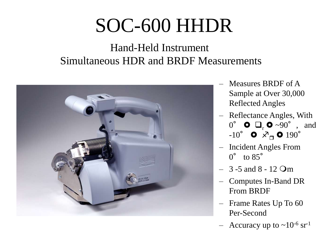# SOC-600 HHDR

#### Hand-Held Instrument Simultaneous HDR and BRDF Measurements



- Measures BRDF of A Sample at Over 30,000 Reflected Angles
- Reflectance Angles, With  $0^\circ$  **O**  $\Box$ , **O**  $\sim 90^\circ$  , and  $-10^{\circ}$  0  $\overline{X}_{\square}$  0  $190^{\circ}$
- Incident Angles From  $0^{\circ}$  to  $85^{\circ}$
- $-3 5$  and  $8 12$  Om
- Computes In-Band DR From BRDF
- Frame Rates Up To 60 Per-Second
- Accuracy up to  $\sim 10^{-6}$  sr<sup>-1</sup>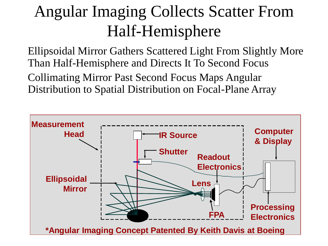### Angular Imaging Collects Scatter From Half-Hemisphere

Ellipsoidal Mirror Gathers Scattered Light From Slightly More Than Half-Hemisphere and Directs It To Second Focus Collimating Mirror Past Second Focus Maps Angular Distribution to Spatial Distribution on Focal-Plane Array

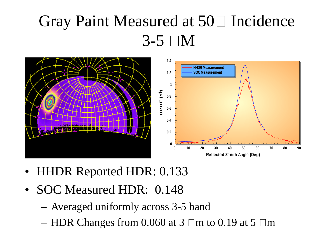### Gray Paint Measured at  $50\Box$  Incidence  $3-5$  M



- HHDR Reported HDR: 0.133
- SOC Measured HDR: 0.148
	- Averaged uniformly across 3-5 band
	- HDR Changes from 0.060 at  $3 \square m$  to 0.19 at  $5 \square m$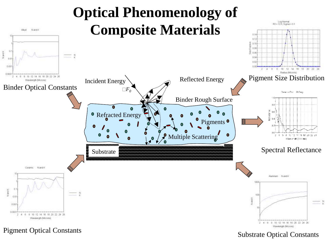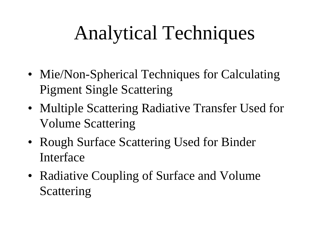# Analytical Techniques

- Mie/Non-Spherical Techniques for Calculating Pigment Single Scattering
- Multiple Scattering Radiative Transfer Used for Volume Scattering
- Rough Surface Scattering Used for Binder Interface
- Radiative Coupling of Surface and Volume Scattering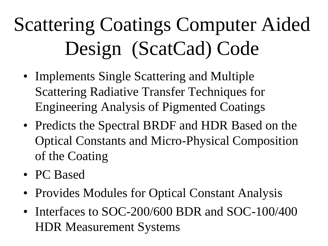# Scattering Coatings Computer Aided Design (ScatCad) Code

- Implements Single Scattering and Multiple Scattering Radiative Transfer Techniques for Engineering Analysis of Pigmented Coatings
- Predicts the Spectral BRDF and HDR Based on the Optical Constants and Micro-Physical Composition of the Coating
- PC Based
- Provides Modules for Optical Constant Analysis
- Interfaces to SOC-200/600 BDR and SOC-100/400 HDR Measurement Systems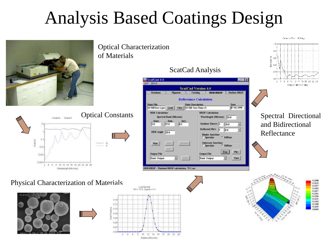## Analysis Based Coatings Design







#### ScatCad Analysis



ģ  $\overline{y}$ 4 18 18 28 22 24 12 Wayelenath (Microns)

Ceremic Paint, 20 Deci-

Spectral Directional and Bidirectional Reflectance











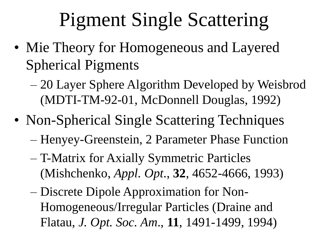# Pigment Single Scattering

- Mie Theory for Homogeneous and Layered Spherical Pigments
	- 20 Layer Sphere Algorithm Developed by Weisbrod (MDTI-TM-92-01, McDonnell Douglas, 1992)
- Non-Spherical Single Scattering Techniques
	- Henyey-Greenstein, 2 Parameter Phase Function
	- T-Matrix for Axially Symmetric Particles (Mishchenko, *Appl. Opt*., **32**, 4652-4666, 1993)
	- Discrete Dipole Approximation for Non-Homogeneous/Irregular Particles (Draine and Flatau, *J. Opt. Soc. Am*., **11**, 1491-1499, 1994)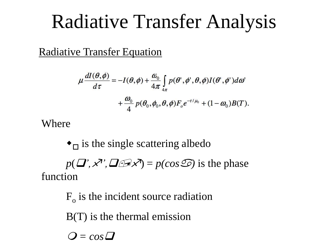## Radiative Transfer Analysis

Radiative Transfer Equation

$$
\mu \frac{dI(\theta,\phi)}{d\tau} = -I(\theta,\phi) + \frac{\omega_0}{4\pi} \int_{4\pi} p(\theta',\phi',\theta,\phi) I(\theta',\phi') d\omega' + \frac{\omega_0}{4} p(\theta_0,\phi_0,\theta,\phi) F_o e^{-\tau/\mu_0} + (1-\omega_0) B(T).
$$

Where

 $\bullet$ <sub> $\Box$ </sub> is the single scattering albedo

 $p(\mathbf{J}', \mathbf{X}', \mathbf{J} \oplus \mathbf{X}') = p(\cos \mathbf{S})$  is the phase function

 $F<sub>o</sub>$  is the incident source radiation B(T) is the thermal emission  $Q = cos \Delta$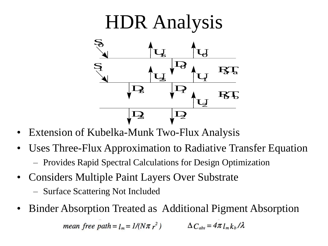

- Extension of Kubelka-Munk Two-Flux Analysis
- Uses Three-Flux Approximation to Radiative Transfer Equation
	- Provides Rapid Spectral Calculations for Design Optimization
- Considers Multiple Paint Layers Over Substrate
	- Surface Scattering Not Included
- Binder Absorption Treated as Additional Pigment Absorption mean free path =  $l_m = 1/(N\pi r^2)$   $\Delta C_{abs} = 4\pi l_m k_b / \lambda$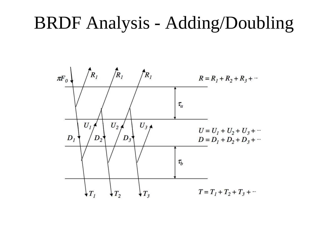### BRDF Analysis - Adding/Doubling

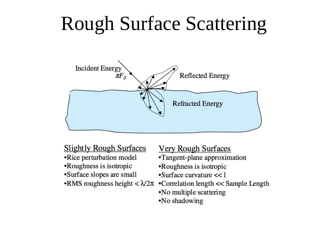## Rough Surface Scattering



#### **Slightly Rough Surfaces**

- •Rice perturbation model
- •Roughness is isotropic
- •Surface slopes are small
- RMS roughness height  $< \lambda/2\pi$

#### **Very Rough Surfaces**

- •Tangent-plane approximation
- •Roughness is isotropic
- $\cdot$ Surface curvature  $<< 1$
- •Correlation length << Sample Length
- •No multiple scattering
- •No shadowing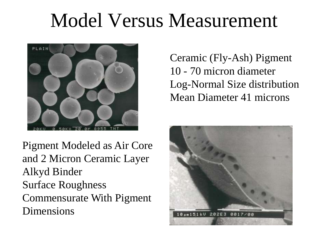## Model Versus Measurement



Ceramic (Fly-Ash) Pigment 10 - 70 micron diameter Log-Normal Size distribution Mean Diameter 41 microns

Pigment Modeled as Air Core and 2 Micron Ceramic Layer Alkyd Binder Surface Roughness Commensurate With Pigment Dimensions

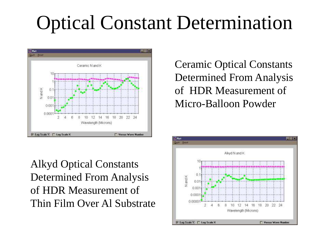# Optical Constant Determination



Alkyd Optical Constants Determined From Analysis of HDR Measurement of Thin Film Over Al Substrate

Ceramic Optical Constants Determined From Analysis of HDR Measurement of Micro-Balloon Powder

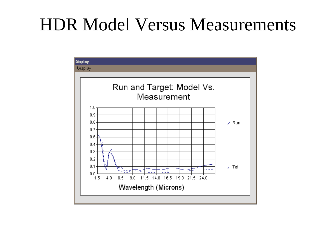### HDR Model Versus Measurements

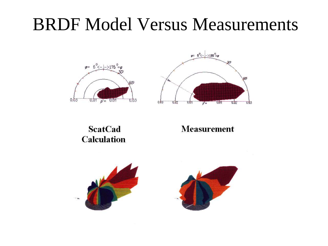### BRDF Model Versus Measurements





#### **ScatCad Calculation**

#### **Measurement**

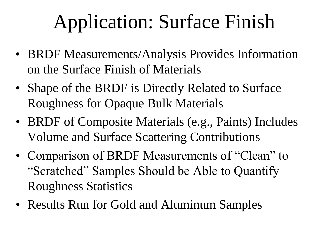# Application: Surface Finish

- BRDF Measurements/Analysis Provides Information on the Surface Finish of Materials
- Shape of the BRDF is Directly Related to Surface Roughness for Opaque Bulk Materials
- BRDF of Composite Materials (e.g., Paints) Includes Volume and Surface Scattering Contributions
- Comparison of BRDF Measurements of "Clean" to "Scratched" Samples Should be Able to Quantify Roughness Statistics
- Results Run for Gold and Aluminum Samples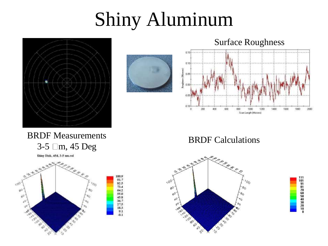# Shiny Aluminum





Surface Roughness



BRDF Measurements 3-5 m, 45 Deg

Shiny Disk, 45d, 3-5 um.col



#### BRDF Calculations



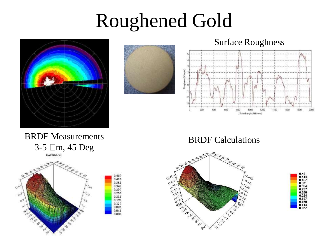## Roughened Gold





Surface Roughness



BRDF Measurements 3-5 m, 45 Deg GoldStd.col



BRDF Calculations



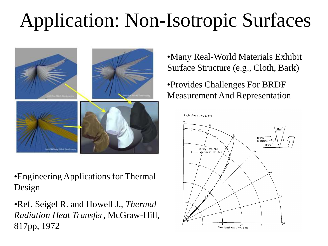# Application: Non-Isotropic Surfaces



•Engineering Applications for Thermal Design

•Ref. Seigel R. and Howell J., *Thermal Radiation Heat Transfer*, McGraw-Hill, 817pp, 1972

•Many Real-World Materials Exhibit Surface Structure (e.g., Cloth, Bark)

#### •Provides Challenges For BRDF Measurement And Representation

Angle of emission, B, deg

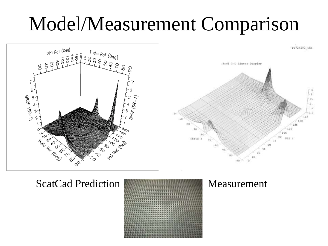## Model/Measurement Comparison



ScatCad Prediction **Measurement** 

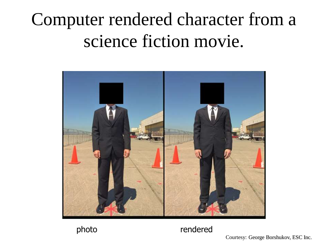## Computer rendered character from a science fiction movie.





photo rendered

Courtesy: George Borshukov, ESC Inc.